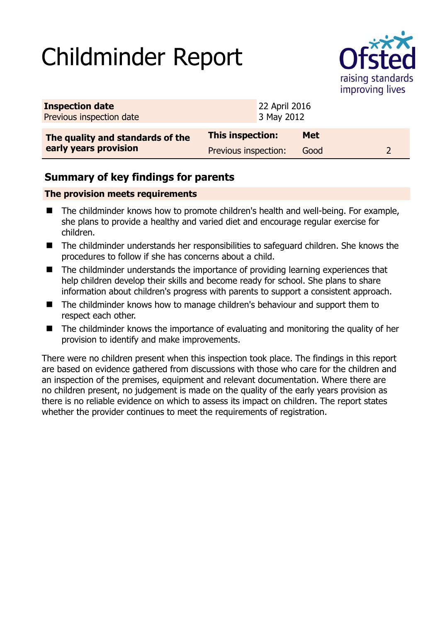# Childminder Report



| <b>Inspection date</b><br>Previous inspection date        |                         | 22 April 2016<br>3 May 2012 |            |  |  |
|-----------------------------------------------------------|-------------------------|-----------------------------|------------|--|--|
| The quality and standards of the<br>early years provision | <b>This inspection:</b> |                             | <b>Met</b> |  |  |
|                                                           | Previous inspection:    |                             | Good       |  |  |

## **Summary of key findings for parents**

#### **The provision meets requirements**

- The childminder knows how to promote children's health and well-being. For example, she plans to provide a healthy and varied diet and encourage regular exercise for children.
- The childminder understands her responsibilities to safeguard children. She knows the procedures to follow if she has concerns about a child.
- The childminder understands the importance of providing learning experiences that help children develop their skills and become ready for school. She plans to share information about children's progress with parents to support a consistent approach.
- The childminder knows how to manage children's behaviour and support them to respect each other.
- The childminder knows the importance of evaluating and monitoring the quality of her provision to identify and make improvements.

There were no children present when this inspection took place. The findings in this report are based on evidence gathered from discussions with those who care for the children and an inspection of the premises, equipment and relevant documentation. Where there are no children present, no judgement is made on the quality of the early years provision as there is no reliable evidence on which to assess its impact on children. The report states whether the provider continues to meet the requirements of registration.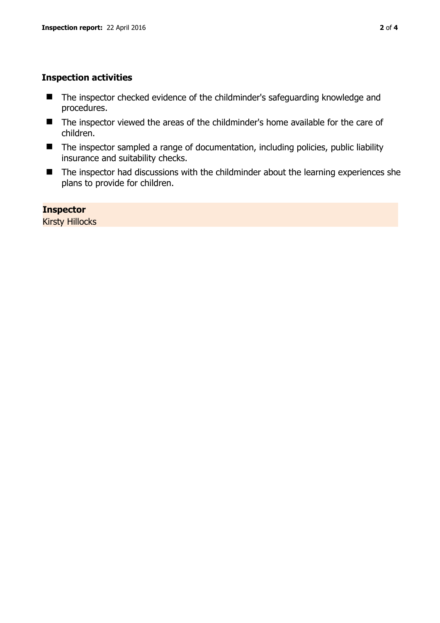#### **Inspection activities**

- The inspector checked evidence of the childminder's safeguarding knowledge and procedures.
- The inspector viewed the areas of the childminder's home available for the care of children.
- The inspector sampled a range of documentation, including policies, public liability insurance and suitability checks.
- The inspector had discussions with the childminder about the learning experiences she plans to provide for children.

**Inspector**  Kirsty Hillocks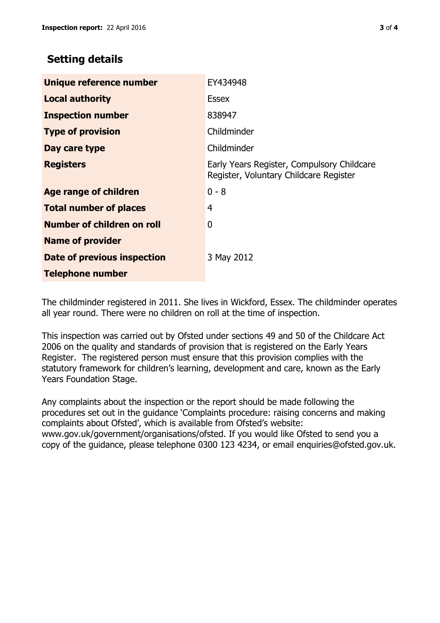### **Setting details**

| Unique reference number            | EY434948                                                                             |
|------------------------------------|--------------------------------------------------------------------------------------|
| <b>Local authority</b>             | <b>Essex</b>                                                                         |
| <b>Inspection number</b>           | 838947                                                                               |
| <b>Type of provision</b>           | Childminder                                                                          |
| Day care type                      | Childminder                                                                          |
| <b>Registers</b>                   | Early Years Register, Compulsory Childcare<br>Register, Voluntary Childcare Register |
| <b>Age range of children</b>       | $0 - 8$                                                                              |
| <b>Total number of places</b>      | 4                                                                                    |
| Number of children on roll         | 0                                                                                    |
| <b>Name of provider</b>            |                                                                                      |
| <b>Date of previous inspection</b> | 3 May 2012                                                                           |
| <b>Telephone number</b>            |                                                                                      |

The childminder registered in 2011. She lives in Wickford, Essex. The childminder operates all year round. There were no children on roll at the time of inspection.

This inspection was carried out by Ofsted under sections 49 and 50 of the Childcare Act 2006 on the quality and standards of provision that is registered on the Early Years Register. The registered person must ensure that this provision complies with the statutory framework for children's learning, development and care, known as the Early Years Foundation Stage.

Any complaints about the inspection or the report should be made following the procedures set out in the guidance 'Complaints procedure: raising concerns and making complaints about Ofsted', which is available from Ofsted's website: www.gov.uk/government/organisations/ofsted. If you would like Ofsted to send you a copy of the guidance, please telephone 0300 123 4234, or email enquiries@ofsted.gov.uk.